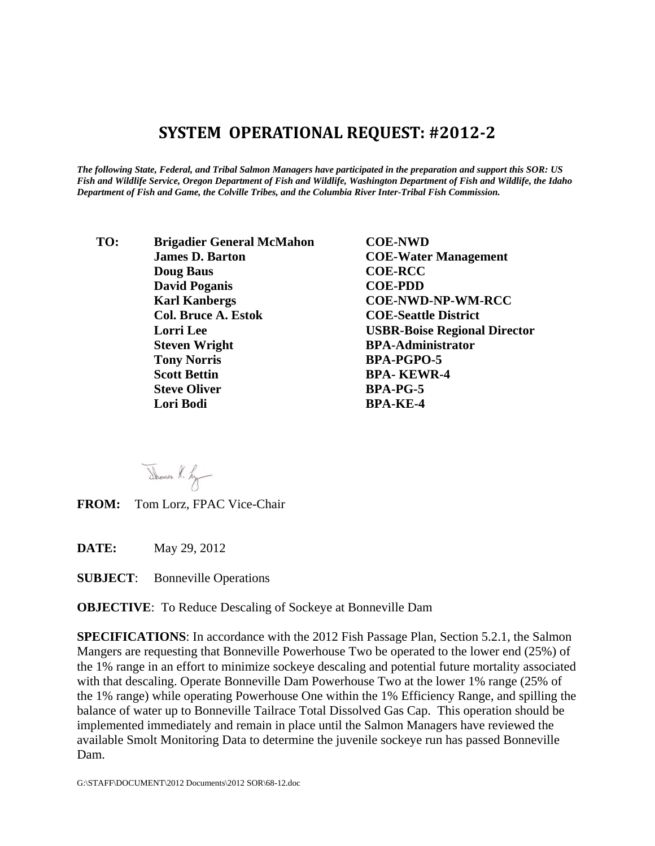## **SYSTEM OPERATIONAL REQUEST: #2012‐2**

*The following State, Federal, and Tribal Salmon Managers have participated in the preparation and support this SOR: US Fish and Wildlife Service, Oregon Department of Fish and Wildlife, Washington Department of Fish and Wildlife, the Idaho Department of Fish and Game, the Colville Tribes, and the Columbia River Inter-Tribal Fish Commission.* 

 **TO: Brigadier General McMahon COE-NWD James D. Barton COE-Water Management Doug Baus COE-RCC David Poganis COE-PDD Karl Kanbergs COE-NWD-NP-WM-RCC Col. Bruce A. Estok COE-Seattle District Steven Wright BPA-Administrator Tony Norris BPA-PGPO-5 Scott Bettin BPA- KEWR-4 Steve Oliver BPA-PG-5 Lori Bodi BPA-KE-4** 

**Lorri Lee USBR-Boise Regional Director** 

Thomas H. Ly

**FROM:** Tom Lorz, FPAC Vice-Chair

**DATE:** May 29, 2012

**SUBJECT**: Bonneville Operations

**OBJECTIVE**: To Reduce Descaling of Sockeye at Bonneville Dam

**SPECIFICATIONS**: In accordance with the 2012 Fish Passage Plan, Section 5.2.1, the Salmon Mangers are requesting that Bonneville Powerhouse Two be operated to the lower end (25%) of the 1% range in an effort to minimize sockeye descaling and potential future mortality associated with that descaling. Operate Bonneville Dam Powerhouse Two at the lower 1% range (25% of the 1% range) while operating Powerhouse One within the 1% Efficiency Range, and spilling the balance of water up to Bonneville Tailrace Total Dissolved Gas Cap. This operation should be implemented immediately and remain in place until the Salmon Managers have reviewed the available Smolt Monitoring Data to determine the juvenile sockeye run has passed Bonneville Dam.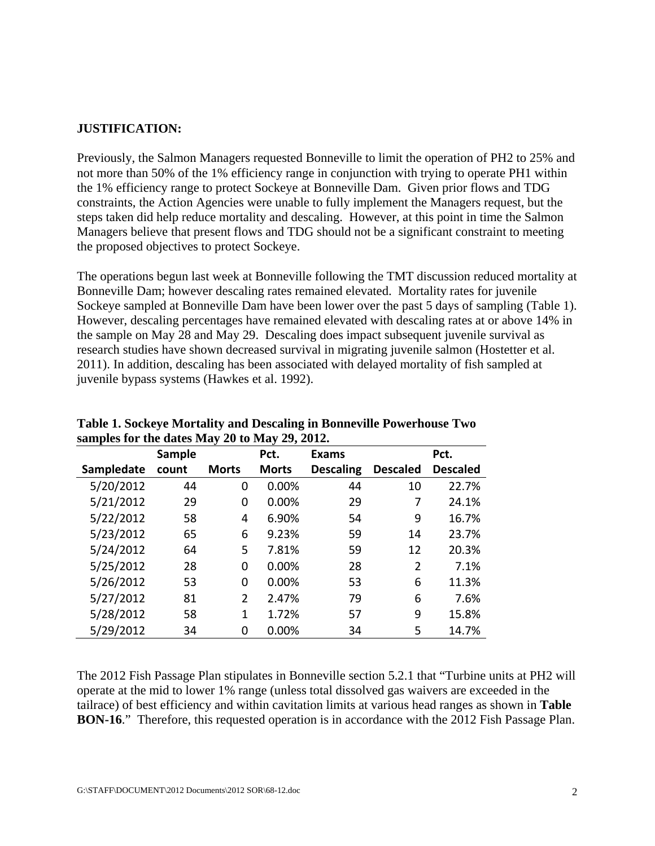## **JUSTIFICATION:**

Previously, the Salmon Managers requested Bonneville to limit the operation of PH2 to 25% and not more than 50% of the 1% efficiency range in conjunction with trying to operate PH1 within the 1% efficiency range to protect Sockeye at Bonneville Dam. Given prior flows and TDG constraints, the Action Agencies were unable to fully implement the Managers request, but the steps taken did help reduce mortality and descaling. However, at this point in time the Salmon Managers believe that present flows and TDG should not be a significant constraint to meeting the proposed objectives to protect Sockeye.

The operations begun last week at Bonneville following the TMT discussion reduced mortality at Bonneville Dam; however descaling rates remained elevated. Mortality rates for juvenile Sockeye sampled at Bonneville Dam have been lower over the past 5 days of sampling (Table 1). However, descaling percentages have remained elevated with descaling rates at or above 14% in the sample on May 28 and May 29. Descaling does impact subsequent juvenile survival as research studies have shown decreased survival in migrating juvenile salmon (Hostetter et al. 2011). In addition, descaling has been associated with delayed mortality of fish sampled at juvenile bypass systems (Hawkes et al. 1992).

| $\frac{1}{2}$ and $\frac{1}{2}$ and $\frac{1}{2}$ and $\frac{1}{2}$ and $\frac{1}{2}$ and $\frac{1}{2}$ and $\frac{1}{2}$ and $\frac{1}{2}$ and $\frac{1}{2}$ and $\frac{1}{2}$ and $\frac{1}{2}$ and $\frac{1}{2}$ and $\frac{1}{2}$ and $\frac{1}{2}$ and $\frac{1}{2}$ and $\frac{1}{2}$ a |               |              |              |                  |                 |                 |
|-----------------------------------------------------------------------------------------------------------------------------------------------------------------------------------------------------------------------------------------------------------------------------------------------|---------------|--------------|--------------|------------------|-----------------|-----------------|
|                                                                                                                                                                                                                                                                                               | <b>Sample</b> |              | Pct.         | <b>Exams</b>     |                 | Pct.            |
| Sampledate                                                                                                                                                                                                                                                                                    | count         | <b>Morts</b> | <b>Morts</b> | <b>Descaling</b> | <b>Descaled</b> | <b>Descaled</b> |
| 5/20/2012                                                                                                                                                                                                                                                                                     | 44            | 0            | 0.00%        | 44               | 10              | 22.7%           |
| 5/21/2012                                                                                                                                                                                                                                                                                     | 29            | 0            | 0.00%        | 29               | 7               | 24.1%           |
| 5/22/2012                                                                                                                                                                                                                                                                                     | 58            | 4            | 6.90%        | 54               | 9               | 16.7%           |
| 5/23/2012                                                                                                                                                                                                                                                                                     | 65            | 6            | 9.23%        | 59               | 14              | 23.7%           |
| 5/24/2012                                                                                                                                                                                                                                                                                     | 64            | 5            | 7.81%        | 59               | 12              | 20.3%           |
| 5/25/2012                                                                                                                                                                                                                                                                                     | 28            | 0            | 0.00%        | 28               | 2               | 7.1%            |
| 5/26/2012                                                                                                                                                                                                                                                                                     | 53            | 0            | 0.00%        | 53               | 6               | 11.3%           |
| 5/27/2012                                                                                                                                                                                                                                                                                     | 81            | 2            | 2.47%        | 79               | 6               | 7.6%            |
| 5/28/2012                                                                                                                                                                                                                                                                                     | 58            | 1            | 1.72%        | 57               | 9               | 15.8%           |
| 5/29/2012                                                                                                                                                                                                                                                                                     | 34            | 0            | 0.00%        | 34               | 5               | 14.7%           |

**Table 1. Sockeye Mortality and Descaling in Bonneville Powerhouse Two samples for the dates May 20 to May 29, 2012.** 

The 2012 Fish Passage Plan stipulates in Bonneville section 5.2.1 that "Turbine units at PH2 will operate at the mid to lower 1% range (unless total dissolved gas waivers are exceeded in the tailrace) of best efficiency and within cavitation limits at various head ranges as shown in **Table BON-16**." Therefore, this requested operation is in accordance with the 2012 Fish Passage Plan.